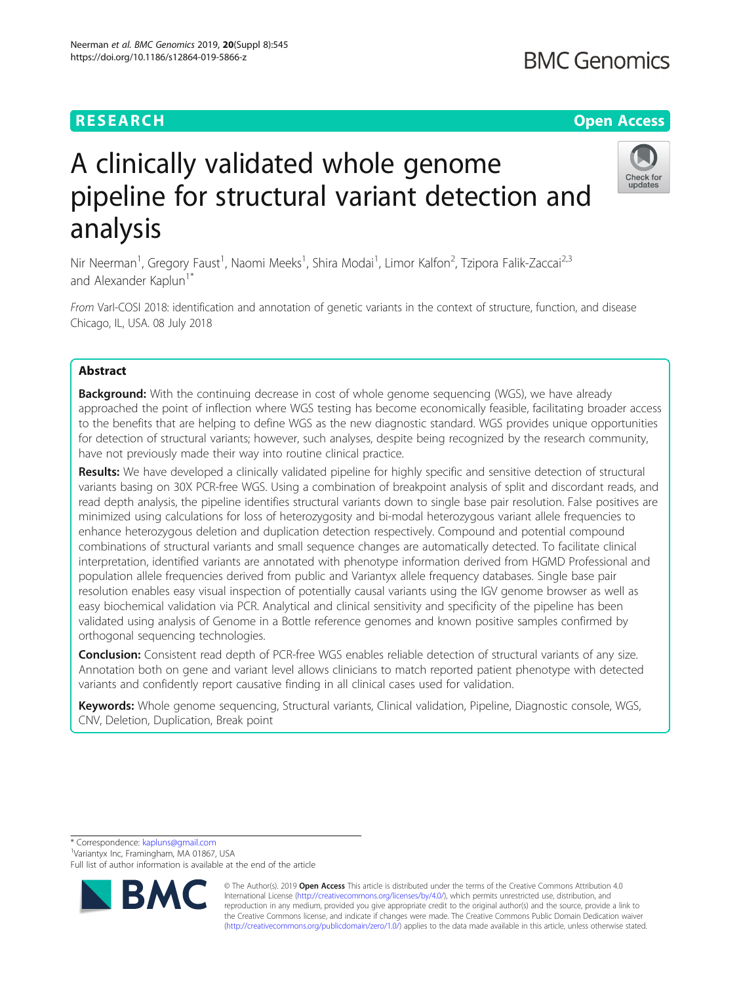https://doi.org/10.1186/s12864-019-5866-z

# A clinically validated whole genome pipeline for structural variant detection and analysis

Nir Neerman<sup>1</sup>, Gregory Faust<sup>1</sup>, Naomi Meeks<sup>1</sup>, Shira Modai<sup>1</sup>, Limor Kalfon<sup>2</sup>, Tzipora Falik-Zaccai<sup>2,3</sup> and Alexander Kaplun<sup>1\*</sup>

From VarI-COSI 2018: identification and annotation of genetic variants in the context of structure, function, and disease Chicago, IL, USA. 08 July 2018

# Abstract

**Background:** With the continuing decrease in cost of whole genome sequencing (WGS), we have already approached the point of inflection where WGS testing has become economically feasible, facilitating broader access to the benefits that are helping to define WGS as the new diagnostic standard. WGS provides unique opportunities for detection of structural variants; however, such analyses, despite being recognized by the research community, have not previously made their way into routine clinical practice.

Results: We have developed a clinically validated pipeline for highly specific and sensitive detection of structural variants basing on 30X PCR-free WGS. Using a combination of breakpoint analysis of split and discordant reads, and read depth analysis, the pipeline identifies structural variants down to single base pair resolution. False positives are minimized using calculations for loss of heterozygosity and bi-modal heterozygous variant allele frequencies to enhance heterozygous deletion and duplication detection respectively. Compound and potential compound combinations of structural variants and small sequence changes are automatically detected. To facilitate clinical interpretation, identified variants are annotated with phenotype information derived from HGMD Professional and population allele frequencies derived from public and Variantyx allele frequency databases. Single base pair resolution enables easy visual inspection of potentially causal variants using the IGV genome browser as well as easy biochemical validation via PCR. Analytical and clinical sensitivity and specificity of the pipeline has been validated using analysis of Genome in a Bottle reference genomes and known positive samples confirmed by orthogonal sequencing technologies.

**Conclusion:** Consistent read depth of PCR-free WGS enables reliable detection of structural variants of any size. Annotation both on gene and variant level allows clinicians to match reported patient phenotype with detected variants and confidently report causative finding in all clinical cases used for validation.

Keywords: Whole genome sequencing, Structural variants, Clinical validation, Pipeline, Diagnostic console, WGS, CNV, Deletion, Duplication, Break point

\* Correspondence: [kapluns@gmail.com](mailto:kapluns@gmail.com) <sup>1</sup>

Variantyx Inc, Framingham, MA 01867, USA

Full list of author information is available at the end of the article



© The Author(s). 2019 **Open Access** This article is distributed under the terms of the Creative Commons Attribution 4.0 International License [\(http://creativecommons.org/licenses/by/4.0/](http://creativecommons.org/licenses/by/4.0/)), which permits unrestricted use, distribution, and reproduction in any medium, provided you give appropriate credit to the original author(s) and the source, provide a link to the Creative Commons license, and indicate if changes were made. The Creative Commons Public Domain Dedication waiver [\(http://creativecommons.org/publicdomain/zero/1.0/](http://creativecommons.org/publicdomain/zero/1.0/)) applies to the data made available in this article, unless otherwise stated.



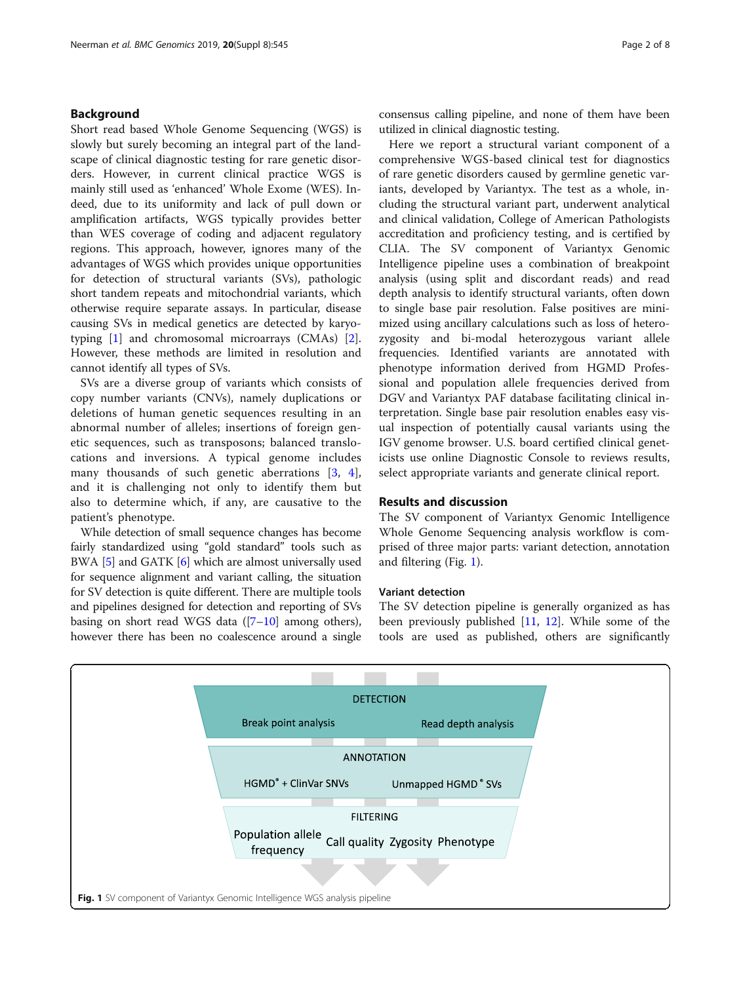# Background

Short read based Whole Genome Sequencing (WGS) is slowly but surely becoming an integral part of the landscape of clinical diagnostic testing for rare genetic disorders. However, in current clinical practice WGS is mainly still used as 'enhanced' Whole Exome (WES). Indeed, due to its uniformity and lack of pull down or amplification artifacts, WGS typically provides better than WES coverage of coding and adjacent regulatory regions. This approach, however, ignores many of the advantages of WGS which provides unique opportunities for detection of structural variants (SVs), pathologic short tandem repeats and mitochondrial variants, which otherwise require separate assays. In particular, disease causing SVs in medical genetics are detected by karyotyping [[1](#page-7-0)] and chromosomal microarrays (CMAs) [\[2](#page-7-0)]. However, these methods are limited in resolution and cannot identify all types of SVs.

SVs are a diverse group of variants which consists of copy number variants (CNVs), namely duplications or deletions of human genetic sequences resulting in an abnormal number of alleles; insertions of foreign genetic sequences, such as transposons; balanced translocations and inversions. A typical genome includes many thousands of such genetic aberrations [[3,](#page-7-0) [4](#page-7-0)], and it is challenging not only to identify them but also to determine which, if any, are causative to the patient's phenotype.

While detection of small sequence changes has become fairly standardized using "gold standard" tools such as BWA [\[5\]](#page-7-0) and GATK [\[6\]](#page-7-0) which are almost universally used for sequence alignment and variant calling, the situation for SV detection is quite different. There are multiple tools and pipelines designed for detection and reporting of SVs basing on short read WGS data  $([7–10]$  $([7–10]$  $([7–10]$  $([7–10]$  $([7–10]$  among others), however there has been no coalescence around a single consensus calling pipeline, and none of them have been utilized in clinical diagnostic testing.

Here we report a structural variant component of a comprehensive WGS-based clinical test for diagnostics of rare genetic disorders caused by germline genetic variants, developed by Variantyx. The test as a whole, including the structural variant part, underwent analytical and clinical validation, College of American Pathologists accreditation and proficiency testing, and is certified by CLIA. The SV component of Variantyx Genomic Intelligence pipeline uses a combination of breakpoint analysis (using split and discordant reads) and read depth analysis to identify structural variants, often down to single base pair resolution. False positives are minimized using ancillary calculations such as loss of heterozygosity and bi-modal heterozygous variant allele frequencies. Identified variants are annotated with phenotype information derived from HGMD Professional and population allele frequencies derived from DGV and Variantyx PAF database facilitating clinical interpretation. Single base pair resolution enables easy visual inspection of potentially causal variants using the IGV genome browser. U.S. board certified clinical geneticists use online Diagnostic Console to reviews results, select appropriate variants and generate clinical report.

# Results and discussion

The SV component of Variantyx Genomic Intelligence Whole Genome Sequencing analysis workflow is comprised of three major parts: variant detection, annotation and filtering (Fig. 1).

# Variant detection

The SV detection pipeline is generally organized as has been previously published [[11,](#page-7-0) [12](#page-7-0)]. While some of the tools are used as published, others are significantly

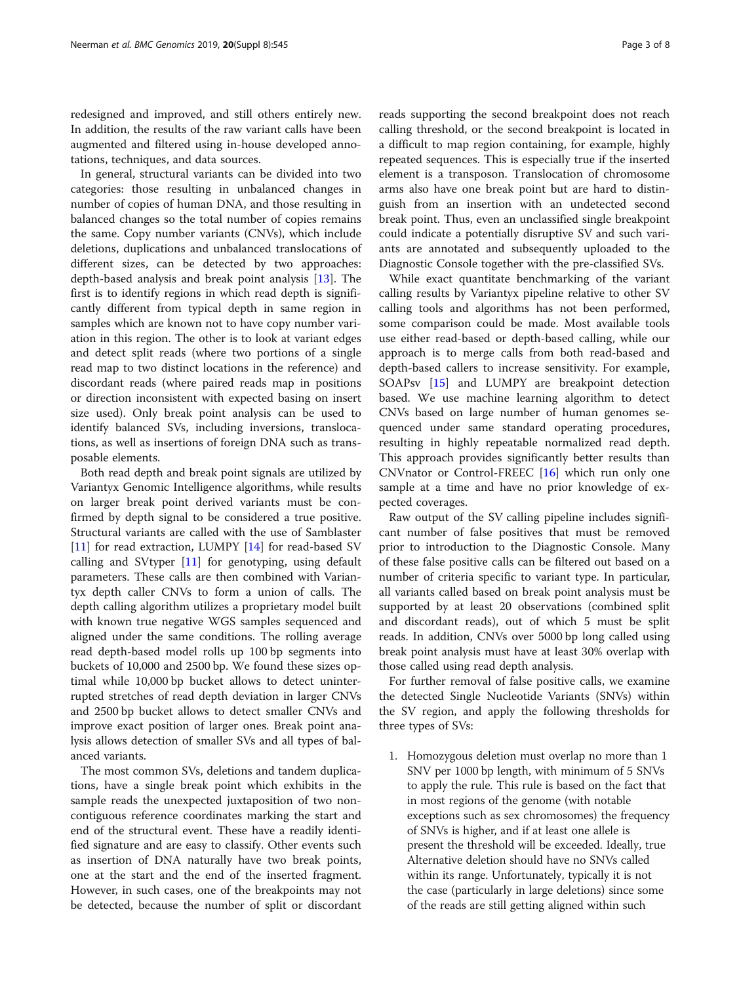redesigned and improved, and still others entirely new. In addition, the results of the raw variant calls have been augmented and filtered using in-house developed annotations, techniques, and data sources.

In general, structural variants can be divided into two categories: those resulting in unbalanced changes in number of copies of human DNA, and those resulting in balanced changes so the total number of copies remains the same. Copy number variants (CNVs), which include deletions, duplications and unbalanced translocations of different sizes, can be detected by two approaches: depth-based analysis and break point analysis [\[13](#page-7-0)]. The first is to identify regions in which read depth is significantly different from typical depth in same region in samples which are known not to have copy number variation in this region. The other is to look at variant edges and detect split reads (where two portions of a single read map to two distinct locations in the reference) and discordant reads (where paired reads map in positions or direction inconsistent with expected basing on insert size used). Only break point analysis can be used to identify balanced SVs, including inversions, translocations, as well as insertions of foreign DNA such as transposable elements.

Both read depth and break point signals are utilized by Variantyx Genomic Intelligence algorithms, while results on larger break point derived variants must be confirmed by depth signal to be considered a true positive. Structural variants are called with the use of Samblaster [[11\]](#page-7-0) for read extraction, LUMPY [\[14](#page-7-0)] for read-based SV calling and SVtyper [[11\]](#page-7-0) for genotyping, using default parameters. These calls are then combined with Variantyx depth caller CNVs to form a union of calls. The depth calling algorithm utilizes a proprietary model built with known true negative WGS samples sequenced and aligned under the same conditions. The rolling average read depth-based model rolls up 100 bp segments into buckets of 10,000 and 2500 bp. We found these sizes optimal while 10,000 bp bucket allows to detect uninterrupted stretches of read depth deviation in larger CNVs and 2500 bp bucket allows to detect smaller CNVs and improve exact position of larger ones. Break point analysis allows detection of smaller SVs and all types of balanced variants.

The most common SVs, deletions and tandem duplications, have a single break point which exhibits in the sample reads the unexpected juxtaposition of two noncontiguous reference coordinates marking the start and end of the structural event. These have a readily identified signature and are easy to classify. Other events such as insertion of DNA naturally have two break points, one at the start and the end of the inserted fragment. However, in such cases, one of the breakpoints may not be detected, because the number of split or discordant

reads supporting the second breakpoint does not reach calling threshold, or the second breakpoint is located in a difficult to map region containing, for example, highly repeated sequences. This is especially true if the inserted element is a transposon. Translocation of chromosome arms also have one break point but are hard to distinguish from an insertion with an undetected second break point. Thus, even an unclassified single breakpoint could indicate a potentially disruptive SV and such variants are annotated and subsequently uploaded to the Diagnostic Console together with the pre-classified SVs.

While exact quantitate benchmarking of the variant calling results by Variantyx pipeline relative to other SV calling tools and algorithms has not been performed, some comparison could be made. Most available tools use either read-based or depth-based calling, while our approach is to merge calls from both read-based and depth-based callers to increase sensitivity. For example, SOAPsv [\[15](#page-7-0)] and LUMPY are breakpoint detection based. We use machine learning algorithm to detect CNVs based on large number of human genomes sequenced under same standard operating procedures, resulting in highly repeatable normalized read depth. This approach provides significantly better results than CNVnator or Control-FREEC [[16\]](#page-7-0) which run only one sample at a time and have no prior knowledge of expected coverages.

Raw output of the SV calling pipeline includes significant number of false positives that must be removed prior to introduction to the Diagnostic Console. Many of these false positive calls can be filtered out based on a number of criteria specific to variant type. In particular, all variants called based on break point analysis must be supported by at least 20 observations (combined split and discordant reads), out of which 5 must be split reads. In addition, CNVs over 5000 bp long called using break point analysis must have at least 30% overlap with those called using read depth analysis.

For further removal of false positive calls, we examine the detected Single Nucleotide Variants (SNVs) within the SV region, and apply the following thresholds for three types of SVs:

1. Homozygous deletion must overlap no more than 1 SNV per 1000 bp length, with minimum of 5 SNVs to apply the rule. This rule is based on the fact that in most regions of the genome (with notable exceptions such as sex chromosomes) the frequency of SNVs is higher, and if at least one allele is present the threshold will be exceeded. Ideally, true Alternative deletion should have no SNVs called within its range. Unfortunately, typically it is not the case (particularly in large deletions) since some of the reads are still getting aligned within such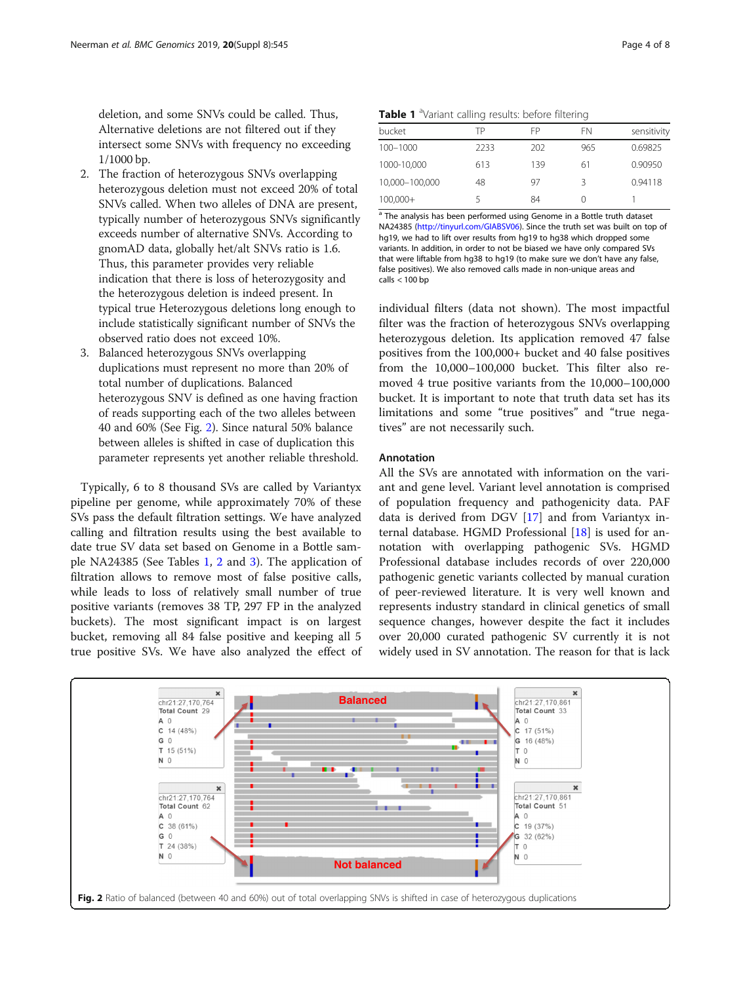deletion, and some SNVs could be called. Thus, Alternative deletions are not filtered out if they intersect some SNVs with frequency no exceeding 1/1000 bp.

- 2. The fraction of heterozygous SNVs overlapping heterozygous deletion must not exceed 20% of total SNVs called. When two alleles of DNA are present, typically number of heterozygous SNVs significantly exceeds number of alternative SNVs. According to gnomAD data, globally het/alt SNVs ratio is 1.6. Thus, this parameter provides very reliable indication that there is loss of heterozygosity and the heterozygous deletion is indeed present. In typical true Heterozygous deletions long enough to include statistically significant number of SNVs the observed ratio does not exceed 10%.
- 3. Balanced heterozygous SNVs overlapping duplications must represent no more than 20% of total number of duplications. Balanced heterozygous SNV is defined as one having fraction of reads supporting each of the two alleles between 40 and 60% (See Fig. 2). Since natural 50% balance between alleles is shifted in case of duplication this parameter represents yet another reliable threshold.

Typically, 6 to 8 thousand SVs are called by Variantyx pipeline per genome, while approximately 70% of these SVs pass the default filtration settings. We have analyzed calling and filtration results using the best available to date true SV data set based on Genome in a Bottle sample NA24385 (See Tables 1, [2](#page-4-0) and [3\)](#page-4-0). The application of filtration allows to remove most of false positive calls, while leads to loss of relatively small number of true positive variants (removes 38 TP, 297 FP in the analyzed buckets). The most significant impact is on largest bucket, removing all 84 false positive and keeping all 5 true positive SVs. We have also analyzed the effect of

| bucket         | TР   | FP  | FN               | sensitivity |
|----------------|------|-----|------------------|-------------|
| 100-1000       | 2233 | 202 | 965              | 0.69825     |
| 1000-10,000    | 613  | 139 | 61               | 0.90950     |
| 10,000-100,000 | 48   | 97  | ζ                | 0.94118     |
| $100,000+$     |      | 84  | $\left( \right)$ |             |

<sup>a</sup> The analysis has been performed using Genome in a Bottle truth dataset NA24385 ([http://tinyurl.com/GIABSV06\)](http://tinyurl.com/GIABSV06). Since the truth set was built on top of hg19, we had to lift over results from hg19 to hg38 which dropped some variants. In addition, in order to not be biased we have only compared SVs that were liftable from hg38 to hg19 (to make sure we don't have any false, false positives). We also removed calls made in non-unique areas and  $r$ alls  $< 100$  bp

individual filters (data not shown). The most impactful filter was the fraction of heterozygous SNVs overlapping heterozygous deletion. Its application removed 47 false positives from the 100,000+ bucket and 40 false positives from the 10,000–100,000 bucket. This filter also removed 4 true positive variants from the 10,000–100,000 bucket. It is important to note that truth data set has its limitations and some "true positives" and "true negatives" are not necessarily such.

# Annotation

All the SVs are annotated with information on the variant and gene level. Variant level annotation is comprised of population frequency and pathogenicity data. PAF data is derived from DGV [\[17](#page-7-0)] and from Variantyx internal database. HGMD Professional [\[18](#page-7-0)] is used for annotation with overlapping pathogenic SVs. HGMD Professional database includes records of over 220,000 pathogenic genetic variants collected by manual curation of peer-reviewed literature. It is very well known and represents industry standard in clinical genetics of small sequence changes, however despite the fact it includes over 20,000 curated pathogenic SV currently it is not widely used in SV annotation. The reason for that is lack

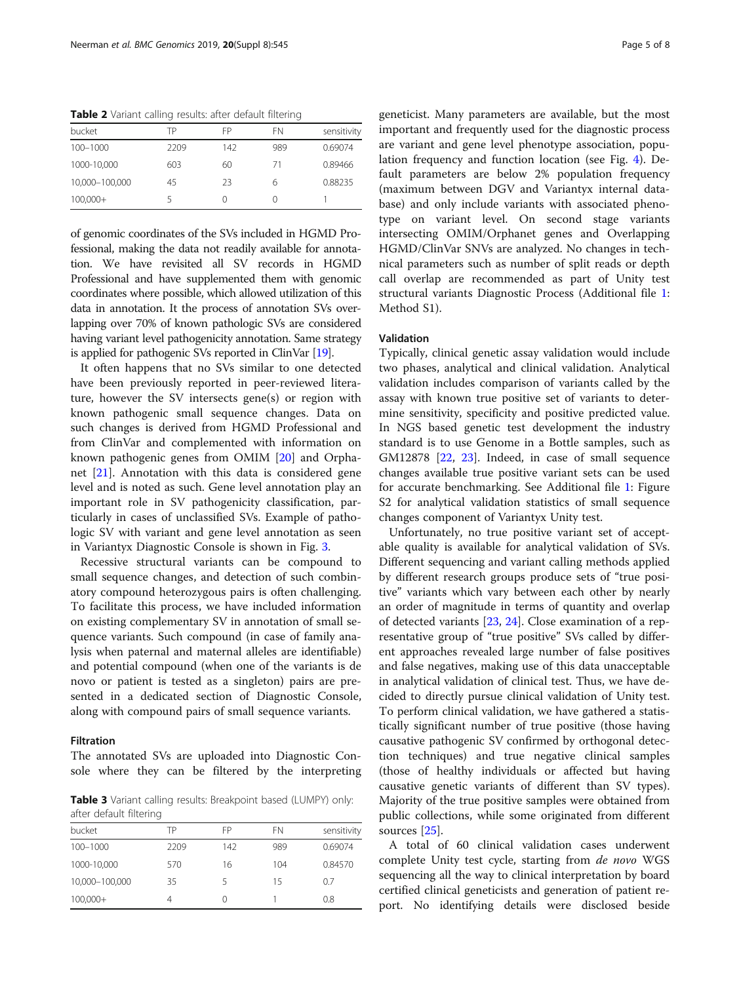<span id="page-4-0"></span>Table 2 Variant calling results: after default filtering

| bucket         | ТP   | FP  | FN       | sensitivity |
|----------------|------|-----|----------|-------------|
| 100-1000       | 2209 | 142 | 989      | 0.69074     |
| 1000-10,000    | 603  | 60  | 71       | 0.89466     |
| 10,000-100,000 | 45   | 23  | 6        | 0.88235     |
| $100,000+$     | 5.   | 0   | $^{(1)}$ |             |

of genomic coordinates of the SVs included in HGMD Professional, making the data not readily available for annotation. We have revisited all SV records in HGMD Professional and have supplemented them with genomic coordinates where possible, which allowed utilization of this data in annotation. It the process of annotation SVs overlapping over 70% of known pathologic SVs are considered having variant level pathogenicity annotation. Same strategy is applied for pathogenic SVs reported in ClinVar [\[19\]](#page-7-0).

It often happens that no SVs similar to one detected have been previously reported in peer-reviewed literature, however the SV intersects gene(s) or region with known pathogenic small sequence changes. Data on such changes is derived from HGMD Professional and from ClinVar and complemented with information on known pathogenic genes from OMIM [\[20](#page-7-0)] and Orphanet [\[21](#page-7-0)]. Annotation with this data is considered gene level and is noted as such. Gene level annotation play an important role in SV pathogenicity classification, particularly in cases of unclassified SVs. Example of pathologic SV with variant and gene level annotation as seen in Variantyx Diagnostic Console is shown in Fig. [3.](#page-5-0)

Recessive structural variants can be compound to small sequence changes, and detection of such combinatory compound heterozygous pairs is often challenging. To facilitate this process, we have included information on existing complementary SV in annotation of small sequence variants. Such compound (in case of family analysis when paternal and maternal alleles are identifiable) and potential compound (when one of the variants is de novo or patient is tested as a singleton) pairs are presented in a dedicated section of Diagnostic Console, along with compound pairs of small sequence variants.

#### Filtration

The annotated SVs are uploaded into Diagnostic Console where they can be filtered by the interpreting

Table 3 Variant calling results: Breakpoint based (LUMPY) only: after default filtering

| bucket         | ТP   | FP  | FN  | sensitivity |
|----------------|------|-----|-----|-------------|
| 100-1000       | 2209 | 142 | 989 | 0.69074     |
| 1000-10,000    | 570  | 16  | 104 | 0.84570     |
| 10,000-100,000 | 35   |     | 15  | 0.7         |
| $100,000+$     |      | O   |     | 0.8         |

geneticist. Many parameters are available, but the most important and frequently used for the diagnostic process are variant and gene level phenotype association, population frequency and function location (see Fig. [4\)](#page-6-0). Default parameters are below 2% population frequency (maximum between DGV and Variantyx internal database) and only include variants with associated phenotype on variant level. On second stage variants intersecting OMIM/Orphanet genes and Overlapping HGMD/ClinVar SNVs are analyzed. No changes in technical parameters such as number of split reads or depth call overlap are recommended as part of Unity test structural variants Diagnostic Process (Additional file [1](#page-6-0): Method S1).

# Validation

Typically, clinical genetic assay validation would include two phases, analytical and clinical validation. Analytical validation includes comparison of variants called by the assay with known true positive set of variants to determine sensitivity, specificity and positive predicted value. In NGS based genetic test development the industry standard is to use Genome in a Bottle samples, such as GM12878 [[22,](#page-7-0) [23\]](#page-7-0). Indeed, in case of small sequence changes available true positive variant sets can be used for accurate benchmarking. See Additional file [1](#page-6-0): Figure S2 for analytical validation statistics of small sequence changes component of Variantyx Unity test.

Unfortunately, no true positive variant set of acceptable quality is available for analytical validation of SVs. Different sequencing and variant calling methods applied by different research groups produce sets of "true positive" variants which vary between each other by nearly an order of magnitude in terms of quantity and overlap of detected variants [\[23](#page-7-0), [24](#page-7-0)]. Close examination of a representative group of "true positive" SVs called by different approaches revealed large number of false positives and false negatives, making use of this data unacceptable in analytical validation of clinical test. Thus, we have decided to directly pursue clinical validation of Unity test. To perform clinical validation, we have gathered a statistically significant number of true positive (those having causative pathogenic SV confirmed by orthogonal detection techniques) and true negative clinical samples (those of healthy individuals or affected but having causative genetic variants of different than SV types). Majority of the true positive samples were obtained from public collections, while some originated from different sources [\[25](#page-7-0)].

A total of 60 clinical validation cases underwent complete Unity test cycle, starting from de novo WGS sequencing all the way to clinical interpretation by board certified clinical geneticists and generation of patient report. No identifying details were disclosed beside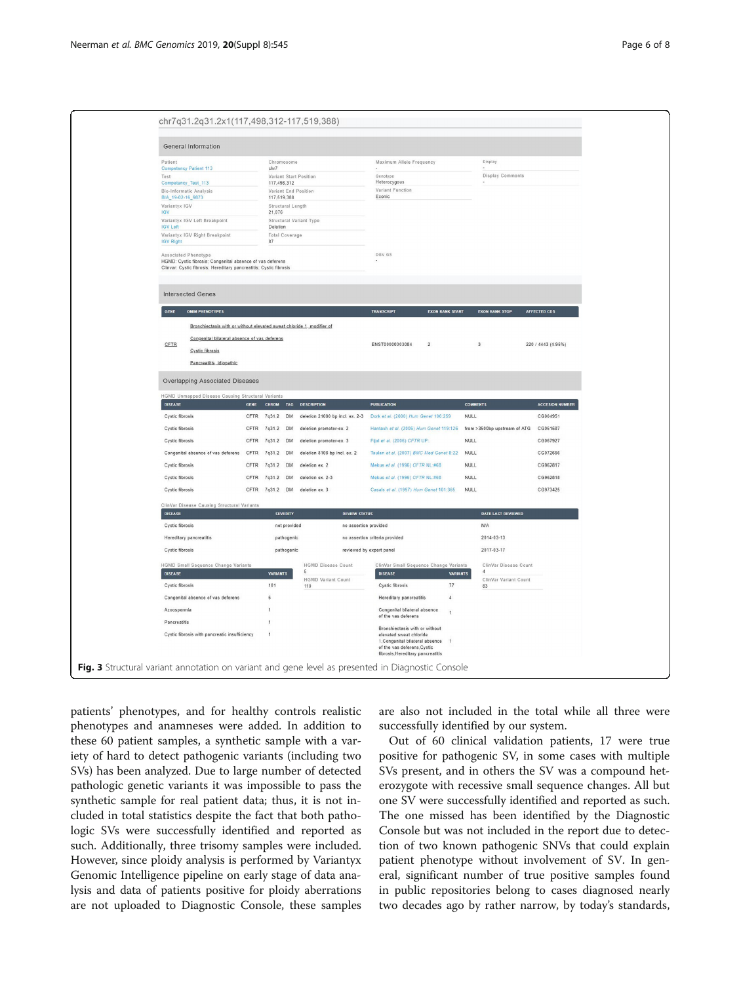<span id="page-5-0"></span>

|                                                                                                                                                         |                                                              | chr7q31.2q31.2x1(117,498,312-117,519,388) |                            |                                                       |                                                                                                                                                                  |                        |                         |                       |                                    |
|---------------------------------------------------------------------------------------------------------------------------------------------------------|--------------------------------------------------------------|-------------------------------------------|----------------------------|-------------------------------------------------------|------------------------------------------------------------------------------------------------------------------------------------------------------------------|------------------------|-------------------------|-----------------------|------------------------------------|
| General Information                                                                                                                                     |                                                              |                                           |                            |                                                       |                                                                                                                                                                  |                        |                         |                       |                                    |
| Patient<br><b>Competency Patient 113</b>                                                                                                                |                                                              | Chromosome<br>chr7                        |                            |                                                       | Maximum Allele Frequency                                                                                                                                         |                        |                         | Display               |                                    |
| Test<br>Competency_Test_113                                                                                                                             | Variant Start Position<br>117,498,312                        |                                           | Genotype<br>Heterozygous   |                                                       |                                                                                                                                                                  | Display Comments       |                         |                       |                                    |
| Bio-Informatic Analysis                                                                                                                                 | Variant End Position                                         |                                           | Variant Function<br>Exonic |                                                       |                                                                                                                                                                  |                        |                         |                       |                                    |
| BIA_19-02-16_9873<br>Variantyx IGV                                                                                                                      |                                                              | 117,519,388                               | Structural Length          |                                                       |                                                                                                                                                                  |                        |                         |                       |                                    |
| <b>IGV</b><br>Variantyx IGV Left Breakpoint                                                                                                             |                                                              | 21.076                                    |                            |                                                       |                                                                                                                                                                  |                        |                         |                       |                                    |
| <b>IGV Left</b><br>Variantyx IGV Right Breakpoint                                                                                                       | Structural Variant Type<br>Deletion<br><b>Total Coverage</b> |                                           |                            |                                                       |                                                                                                                                                                  |                        |                         |                       |                                    |
| <b>IGV Right</b>                                                                                                                                        |                                                              | 87                                        |                            |                                                       |                                                                                                                                                                  |                        |                         |                       |                                    |
| Associated Phenotype<br>HGMD: Cystic fibrosis; Congenital absence of vas deferens<br>Clinvar: Cystic fibrosis; Hereditary pancreatitis; Cystic fibrosis |                                                              |                                           |                            |                                                       | DGV GS                                                                                                                                                           |                        |                         |                       |                                    |
| <b>Intersected Genes</b>                                                                                                                                |                                                              |                                           |                            |                                                       |                                                                                                                                                                  |                        |                         |                       |                                    |
| <b>GENE</b><br><b>OMIM PHENOTYPES</b>                                                                                                                   |                                                              |                                           |                            |                                                       | <b>TRANSCRIPT</b>                                                                                                                                                | <b>EXON RANK START</b> |                         | <b>EXON RANK STOP</b> | <b>AFFECTED CDS</b>                |
| Bronchiectasis with or without elevated sweat chloride 1, modifier of                                                                                   |                                                              |                                           |                            |                                                       |                                                                                                                                                                  |                        |                         |                       |                                    |
| Congenital bilateral absence of vas deferens<br>CFTR                                                                                                    |                                                              |                                           |                            |                                                       | ENST00000003084                                                                                                                                                  | $\overline{c}$         | $\overline{3}$          |                       | 220 / 4443 (4.95%)                 |
| Cystic fibrosis                                                                                                                                         |                                                              |                                           |                            |                                                       |                                                                                                                                                                  |                        |                         |                       |                                    |
| Pancreatitis, idiopathic                                                                                                                                |                                                              |                                           |                            |                                                       |                                                                                                                                                                  |                        |                         |                       |                                    |
| <b>Overlapping Associated Diseases</b>                                                                                                                  |                                                              |                                           |                            |                                                       |                                                                                                                                                                  |                        |                         |                       |                                    |
| HGMD Unmapped Disease Causing Structural Variants                                                                                                       |                                                              |                                           |                            |                                                       |                                                                                                                                                                  |                        |                         |                       |                                    |
| <b>DISEASE</b><br>Cystic fibrosis                                                                                                                       | <b>GENE</b><br>CFTR                                          | <b>CHROM</b><br>7g31.2                    | TAG<br><b>DM</b>           | <b>DESCRIPTION</b><br>deletion 21080 bp incl. ex. 2-3 | <b>PUBLICATION</b><br>Dork et al. (2000) Hum Genet 106:259                                                                                                       |                        | <b>COMMENTS</b><br>NULL |                       | <b>ACCESION NUMBER</b><br>CG004951 |
| Cystic fibrosis                                                                                                                                         |                                                              | CFTR 7q31.2 DM                            |                            | deletion promoter-ex. 2                               | Hantash et al. (2006) Hum Genet 119:126 from >3500bp upstream of ATG                                                                                             |                        |                         |                       | CG061587                           |
| Cystic fibrosis                                                                                                                                         |                                                              | CFTR 7q31.2 DM                            |                            | deletion promoter-ex. 3                               | Fijol et al. (2006) CFTR UP:                                                                                                                                     |                        | NULL                    |                       | CG067927                           |
| Congenital absence of vas deferens                                                                                                                      | CFTR                                                         | 7q31.2                                    | <b>DM</b>                  | deletion 8108 bp incl. ex. 2                          | Taulan et al. (2007) BMC Med Genet 8:22 NULL                                                                                                                     |                        |                         |                       | CG072666                           |
| Cystic fibrosis                                                                                                                                         |                                                              | CFTR 7q31.2                               | <b>DM</b>                  | deletion ex. 2                                        | Mekus et al. (1996) CFTR NL:#68                                                                                                                                  |                        | NULL                    |                       | CG962817                           |
| Cystic fibrosis                                                                                                                                         | CFTR                                                         | 7g31.2                                    | <b>DM</b>                  | deletion ex. 2-3                                      |                                                                                                                                                                  |                        |                         |                       |                                    |
|                                                                                                                                                         |                                                              |                                           |                            |                                                       | Mekus et al. (1996) CFTR NL:#68                                                                                                                                  |                        | NULL                    |                       | CG962818                           |
| Cystic fibrosis                                                                                                                                         |                                                              | CFTR 7q31.2 DM                            |                            | deletion ex. 3                                        | Casals et al. (1997) Hum Genet 101:365                                                                                                                           |                        | NULL                    |                       | CG973425                           |
| ClinVar Disease Causing Structural Variants                                                                                                             |                                                              |                                           |                            |                                                       |                                                                                                                                                                  |                        |                         |                       |                                    |
| <b>DISEASE</b>                                                                                                                                          |                                                              | <b>SEVERITY</b>                           |                            | <b>REVIEW STATUS</b>                                  |                                                                                                                                                                  |                        |                         | DATE LAST REVIEWED    |                                    |
| Cystic fibrosis                                                                                                                                         |                                                              |                                           | not provided               | no assertion provided                                 |                                                                                                                                                                  |                        |                         | N/A                   |                                    |
| Hereditary pancreatitis                                                                                                                                 |                                                              | pathogenic                                |                            |                                                       | no assertion criteria provided                                                                                                                                   |                        |                         | 2014-03-13            |                                    |
| Cystic fibrosis                                                                                                                                         |                                                              | pathogenic                                |                            |                                                       | reviewed by expert panel                                                                                                                                         |                        |                         | 2017-03-17            |                                    |
| <b>HGMD Small Sequence Change Variants</b>                                                                                                              |                                                              |                                           | 5                          | <b>HGMD Disease Count</b>                             | ClinVar Small Sequence Change Variants                                                                                                                           |                        | $\overline{4}$          | ClinVar Disease Count |                                    |
| <b>DISEASE</b><br>Cystic fibrosis                                                                                                                       |                                                              | <b>VARIANTS</b><br>101                    |                            | <b>HGMD Variant Count</b>                             | <b>DISEASE</b>                                                                                                                                                   | <b>VARIANTS</b><br>77  |                         | ClinVar Variant Count |                                    |
| Congenital absence of vas deferens                                                                                                                      |                                                              | $6\phantom{a}$                            | 110                        |                                                       | Cystic fibrosis<br>Hereditary pancreatitis                                                                                                                       | $\sqrt{4}$             |                         | 83                    |                                    |
| Azoospermia                                                                                                                                             |                                                              | $\overline{1}$                            |                            |                                                       | Congenital bilateral absence                                                                                                                                     | $\overline{1}$         |                         |                       |                                    |
| Pancreatitis                                                                                                                                            |                                                              | $\mathbf{1}$                              |                            |                                                       | of the vas deferens                                                                                                                                              |                        |                         |                       |                                    |
| Cystic fibrosis with pancreatic insufficiency                                                                                                           |                                                              | $\overline{1}$                            |                            |                                                       | Bronchiectasis with or without<br>elevated sweat chloride<br>1, Congenital bilateral absence<br>of the vas deferens, Cystic<br>fibrosis, Hereditary pancreatitis |                        |                         |                       |                                    |

patients' phenotypes, and for healthy controls realistic phenotypes and anamneses were added. In addition to these 60 patient samples, a synthetic sample with a variety of hard to detect pathogenic variants (including two SVs) has been analyzed. Due to large number of detected pathologic genetic variants it was impossible to pass the synthetic sample for real patient data; thus, it is not included in total statistics despite the fact that both pathologic SVs were successfully identified and reported as such. Additionally, three trisomy samples were included. However, since ploidy analysis is performed by Variantyx Genomic Intelligence pipeline on early stage of data analysis and data of patients positive for ploidy aberrations are not uploaded to Diagnostic Console, these samples

are also not included in the total while all three were successfully identified by our system.

Out of 60 clinical validation patients, 17 were true positive for pathogenic SV, in some cases with multiple SVs present, and in others the SV was a compound heterozygote with recessive small sequence changes. All but one SV were successfully identified and reported as such. The one missed has been identified by the Diagnostic Console but was not included in the report due to detection of two known pathogenic SNVs that could explain patient phenotype without involvement of SV. In general, significant number of true positive samples found in public repositories belong to cases diagnosed nearly two decades ago by rather narrow, by today's standards,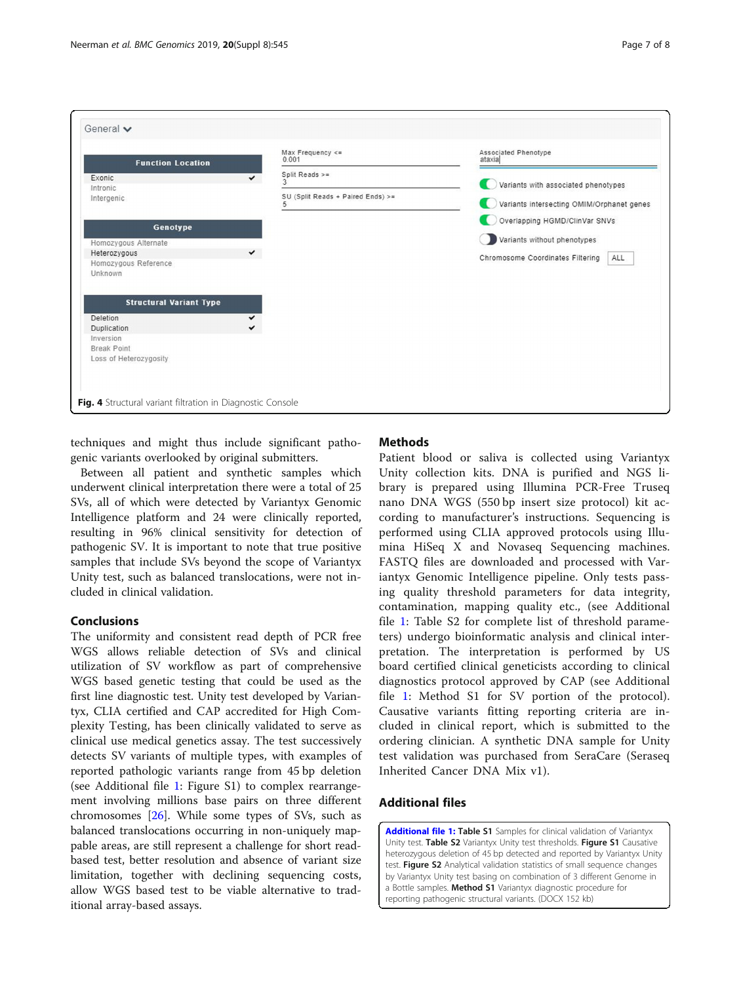<span id="page-6-0"></span>

| <b>Function Location</b>        |              | $Max$ Frequency $\leq$ =<br>0.001      | Associated Phenotype<br>ataxia            |
|---------------------------------|--------------|----------------------------------------|-------------------------------------------|
| Exonic                          | $\checkmark$ | Split Reads $>=$<br>3                  | Variants with associated phenotypes       |
| Intronic<br>Intergenic          |              | SU (Split Reads + Paired Ends) >=<br>5 | Variants intersecting OMIM/Orphanet genes |
| Genotype                        |              |                                        | Overlapping HGMD/ClinVar SNVs             |
| Homozygous Alternate            |              |                                        | Variants without phenotypes               |
| Heterozygous                    | $\checkmark$ |                                        |                                           |
| Homozygous Reference            |              |                                        | Chromosome Coordinates Filtering<br>ALL   |
| Unknown                         |              |                                        |                                           |
| <b>Structural Variant Type</b>  |              |                                        |                                           |
| Deletion                        | $\checkmark$ |                                        |                                           |
| Duplication                     | ✓            |                                        |                                           |
| Inversion<br><b>Break Point</b> |              |                                        |                                           |
| Loss of Heterozygosity          |              |                                        |                                           |
|                                 |              |                                        |                                           |
|                                 |              |                                        |                                           |

techniques and might thus include significant pathogenic variants overlooked by original submitters.

Between all patient and synthetic samples which underwent clinical interpretation there were a total of 25 SVs, all of which were detected by Variantyx Genomic Intelligence platform and 24 were clinically reported, resulting in 96% clinical sensitivity for detection of pathogenic SV. It is important to note that true positive samples that include SVs beyond the scope of Variantyx Unity test, such as balanced translocations, were not included in clinical validation.

# Conclusions

The uniformity and consistent read depth of PCR free WGS allows reliable detection of SVs and clinical utilization of SV workflow as part of comprehensive WGS based genetic testing that could be used as the first line diagnostic test. Unity test developed by Variantyx, CLIA certified and CAP accredited for High Complexity Testing, has been clinically validated to serve as clinical use medical genetics assay. The test successively detects SV variants of multiple types, with examples of reported pathologic variants range from 45 bp deletion (see Additional file 1: Figure S1) to complex rearrangement involving millions base pairs on three different chromosomes [[26\]](#page-7-0). While some types of SVs, such as balanced translocations occurring in non-uniquely mappable areas, are still represent a challenge for short readbased test, better resolution and absence of variant size limitation, together with declining sequencing costs, allow WGS based test to be viable alternative to traditional array-based assays.

# **Methods**

Patient blood or saliva is collected using Variantyx Unity collection kits. DNA is purified and NGS library is prepared using Illumina PCR-Free Truseq nano DNA WGS (550 bp insert size protocol) kit according to manufacturer's instructions. Sequencing is performed using CLIA approved protocols using Illumina HiSeq X and Novaseq Sequencing machines. FASTQ files are downloaded and processed with Variantyx Genomic Intelligence pipeline. Only tests passing quality threshold parameters for data integrity, contamination, mapping quality etc., (see Additional file 1: Table S2 for complete list of threshold parameters) undergo bioinformatic analysis and clinical interpretation. The interpretation is performed by US board certified clinical geneticists according to clinical diagnostics protocol approved by CAP (see Additional file 1: Method S1 for SV portion of the protocol). Causative variants fitting reporting criteria are included in clinical report, which is submitted to the ordering clinician. A synthetic DNA sample for Unity test validation was purchased from SeraCare (Seraseq Inherited Cancer DNA Mix v1).

# Additional files

[Additional file 1:](https://doi.org/10.1186/s12864-019-5866-z) Table S1 Samples for clinical validation of Variantyx Unity test. Table S2 Variantyx Unity test thresholds. Figure S1 Causative heterozygous deletion of 45 bp detected and reported by Variantyx Unity test. Figure S2 Analytical validation statistics of small sequence changes by Variantyx Unity test basing on combination of 3 different Genome in a Bottle samples. Method S1 Variantyx diagnostic procedure for reporting pathogenic structural variants. (DOCX 152 kb)